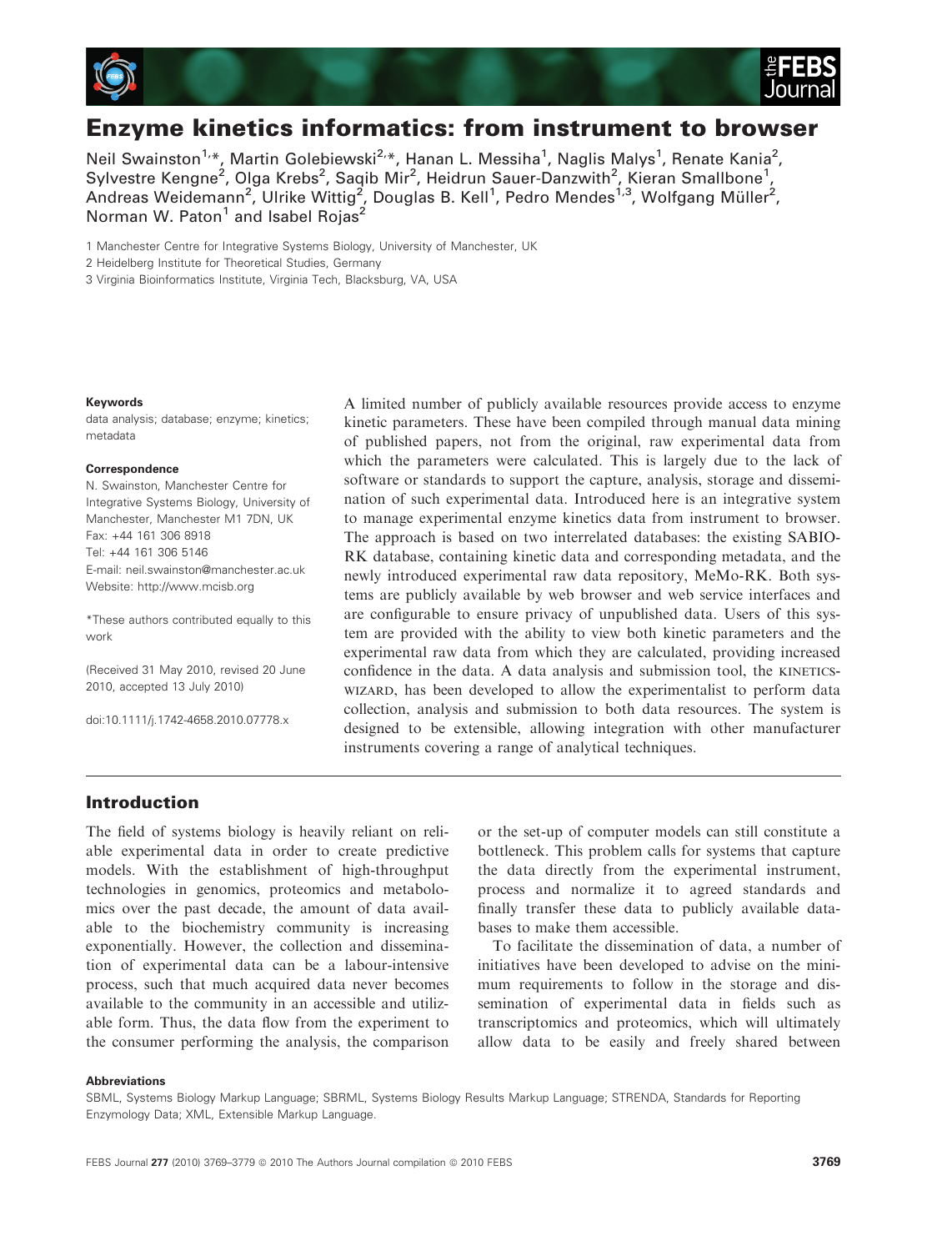



# Enzyme kinetics informatics: from instrument to browser

Neil Swainston<sup>1,\*</sup>, Martin Golebiewski<sup>2,\*</sup>, Hanan L. Messiha<sup>1</sup>, Naglis Malys<sup>1</sup>, Renate Kania<sup>2</sup>, Sylvestre Kengne<sup>2</sup>, Olga Krebs<sup>2</sup>, Saqib Mir<sup>2</sup>, Heidrun Sauer-Danzwith<sup>2</sup>, Kieran Smallbone<sup>1</sup>, Andreas Weidemann<sup>2</sup>, Ulrike Wittig<sup>2</sup>, Douglas B. Kell<sup>1</sup>, Pedro Mendes<sup>1,3</sup>, Wolfgang Müller<sup>2</sup>, Norman W. Paton<sup>1</sup> and Isabel Rojas<sup>2</sup>

1 Manchester Centre for Integrative Systems Biology, University of Manchester, UK

3 Virginia Bioinformatics Institute, Virginia Tech, Blacksburg, VA, USA

#### Keywords

data analysis; database; enzyme; kinetics; metadata

#### **Correspondence**

N. Swainston, Manchester Centre for Integrative Systems Biology, University of Manchester, Manchester M1 7DN, UK Fax: +44 161 306 8918 Tel: +44 161 306 5146 E-mail: neil.swainston@manchester.ac.uk Website: http://www.mcisb.org

\*These authors contributed equally to this work

(Received 31 May 2010, revised 20 June 2010, accepted 13 July 2010)

doi:10.1111/j.1742-4658.2010.07778.x

A limited number of publicly available resources provide access to enzyme kinetic parameters. These have been compiled through manual data mining of published papers, not from the original, raw experimental data from which the parameters were calculated. This is largely due to the lack of software or standards to support the capture, analysis, storage and dissemination of such experimental data. Introduced here is an integrative system to manage experimental enzyme kinetics data from instrument to browser. The approach is based on two interrelated databases: the existing SABIO-RK database, containing kinetic data and corresponding metadata, and the newly introduced experimental raw data repository, MeMo-RK. Both systems are publicly available by web browser and web service interfaces and are configurable to ensure privacy of unpublished data. Users of this system are provided with the ability to view both kinetic parameters and the experimental raw data from which they are calculated, providing increased confidence in the data. A data analysis and submission tool, the KINETICSwizard, has been developed to allow the experimentalist to perform data collection, analysis and submission to both data resources. The system is designed to be extensible, allowing integration with other manufacturer instruments covering a range of analytical techniques.

## Introduction

The field of systems biology is heavily reliant on reliable experimental data in order to create predictive models. With the establishment of high-throughput technologies in genomics, proteomics and metabolomics over the past decade, the amount of data available to the biochemistry community is increasing exponentially. However, the collection and dissemination of experimental data can be a labour-intensive process, such that much acquired data never becomes available to the community in an accessible and utilizable form. Thus, the data flow from the experiment to the consumer performing the analysis, the comparison or the set-up of computer models can still constitute a bottleneck. This problem calls for systems that capture the data directly from the experimental instrument, process and normalize it to agreed standards and finally transfer these data to publicly available databases to make them accessible.

To facilitate the dissemination of data, a number of initiatives have been developed to advise on the minimum requirements to follow in the storage and dissemination of experimental data in fields such as transcriptomics and proteomics, which will ultimately allow data to be easily and freely shared between

#### Abbreviations

SBML, Systems Biology Markup Language; SBRML, Systems Biology Results Markup Language; STRENDA, Standards for Reporting Enzymology Data; XML, Extensible Markup Language.

<sup>2</sup> Heidelberg Institute for Theoretical Studies, Germany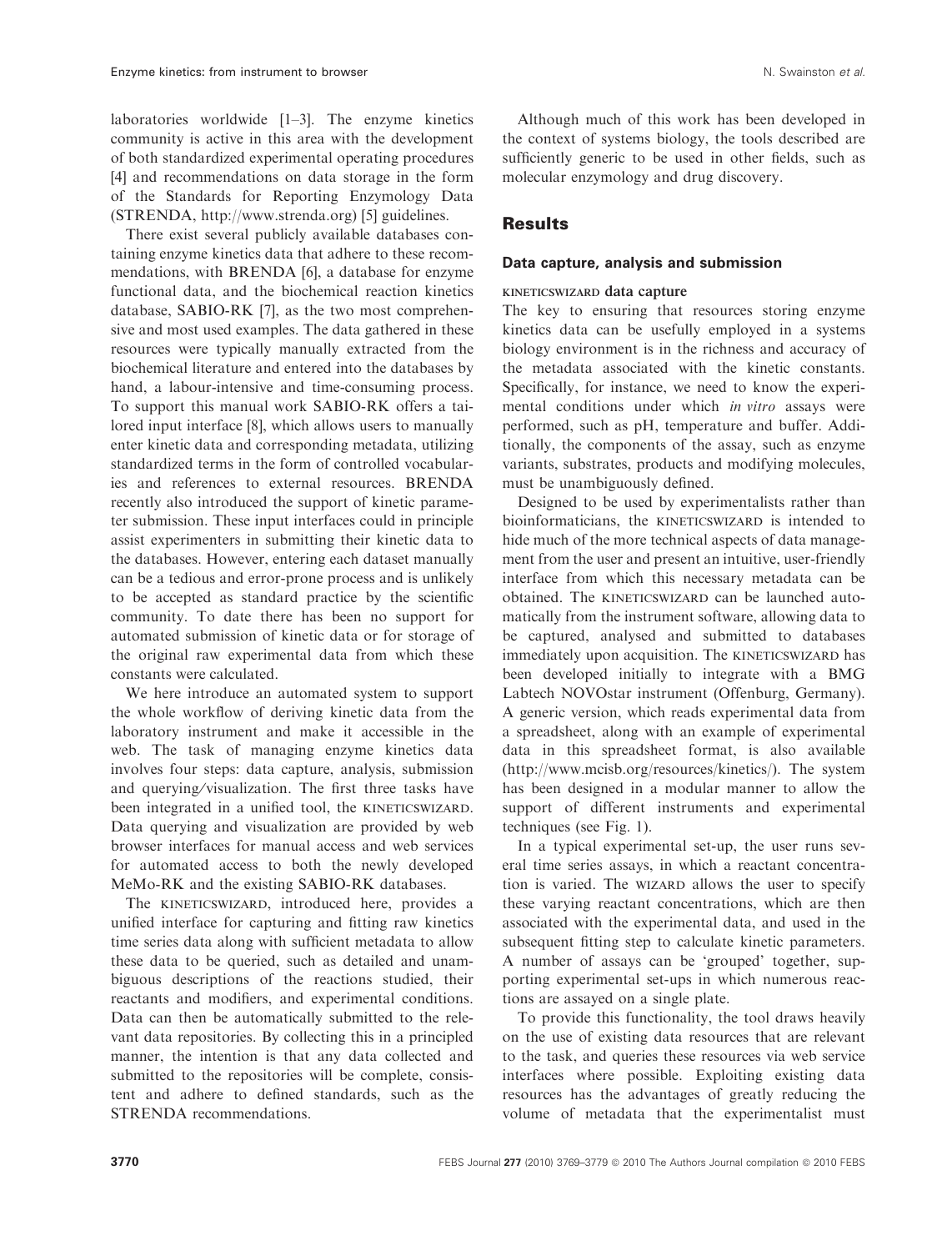laboratories worldwide [1–3]. The enzyme kinetics community is active in this area with the development of both standardized experimental operating procedures [4] and recommendations on data storage in the form of the Standards for Reporting Enzymology Data (STRENDA, http://www.strenda.org) [5] guidelines.

There exist several publicly available databases containing enzyme kinetics data that adhere to these recommendations, with BRENDA [6], a database for enzyme functional data, and the biochemical reaction kinetics database, SABIO-RK [7], as the two most comprehensive and most used examples. The data gathered in these resources were typically manually extracted from the biochemical literature and entered into the databases by hand, a labour-intensive and time-consuming process. To support this manual work SABIO-RK offers a tailored input interface [8], which allows users to manually enter kinetic data and corresponding metadata, utilizing standardized terms in the form of controlled vocabularies and references to external resources. BRENDA recently also introduced the support of kinetic parameter submission. These input interfaces could in principle assist experimenters in submitting their kinetic data to the databases. However, entering each dataset manually can be a tedious and error-prone process and is unlikely to be accepted as standard practice by the scientific community. To date there has been no support for automated submission of kinetic data or for storage of the original raw experimental data from which these constants were calculated.

We here introduce an automated system to support the whole workflow of deriving kinetic data from the laboratory instrument and make it accessible in the web. The task of managing enzyme kinetics data involves four steps: data capture, analysis, submission and querying/visualization. The first three tasks have been integrated in a unified tool, the KINETICSWIZARD. Data querying and visualization are provided by web browser interfaces for manual access and web services for automated access to both the newly developed MeMo-RK and the existing SABIO-RK databases.

The KINETICSWIZARD, introduced here, provides a unified interface for capturing and fitting raw kinetics time series data along with sufficient metadata to allow these data to be queried, such as detailed and unambiguous descriptions of the reactions studied, their reactants and modifiers, and experimental conditions. Data can then be automatically submitted to the relevant data repositories. By collecting this in a principled manner, the intention is that any data collected and submitted to the repositories will be complete, consistent and adhere to defined standards, such as the STRENDA recommendations.

Although much of this work has been developed in the context of systems biology, the tools described are sufficiently generic to be used in other fields, such as molecular enzymology and drug discovery.

# **Results**

### Data capture, analysis and submission

### KINETICSWIZARD data capture

The key to ensuring that resources storing enzyme kinetics data can be usefully employed in a systems biology environment is in the richness and accuracy of the metadata associated with the kinetic constants. Specifically, for instance, we need to know the experimental conditions under which in vitro assays were performed, such as pH, temperature and buffer. Additionally, the components of the assay, such as enzyme variants, substrates, products and modifying molecules, must be unambiguously defined.

Designed to be used by experimentalists rather than bioinformaticians, the KINETICSWIZARD is intended to hide much of the more technical aspects of data management from the user and present an intuitive, user-friendly interface from which this necessary metadata can be obtained. The KINETICSWIZARD can be launched automatically from the instrument software, allowing data to be captured, analysed and submitted to databases immediately upon acquisition. The KINETICSWIZARD has been developed initially to integrate with a BMG Labtech NOVOstar instrument (Offenburg, Germany). A generic version, which reads experimental data from a spreadsheet, along with an example of experimental data in this spreadsheet format, is also available (http://www.mcisb.org/resources/kinetics/). The system has been designed in a modular manner to allow the support of different instruments and experimental techniques (see Fig. 1).

In a typical experimental set-up, the user runs several time series assays, in which a reactant concentration is varied. The wizard allows the user to specify these varying reactant concentrations, which are then associated with the experimental data, and used in the subsequent fitting step to calculate kinetic parameters. A number of assays can be 'grouped' together, supporting experimental set-ups in which numerous reactions are assayed on a single plate.

To provide this functionality, the tool draws heavily on the use of existing data resources that are relevant to the task, and queries these resources via web service interfaces where possible. Exploiting existing data resources has the advantages of greatly reducing the volume of metadata that the experimentalist must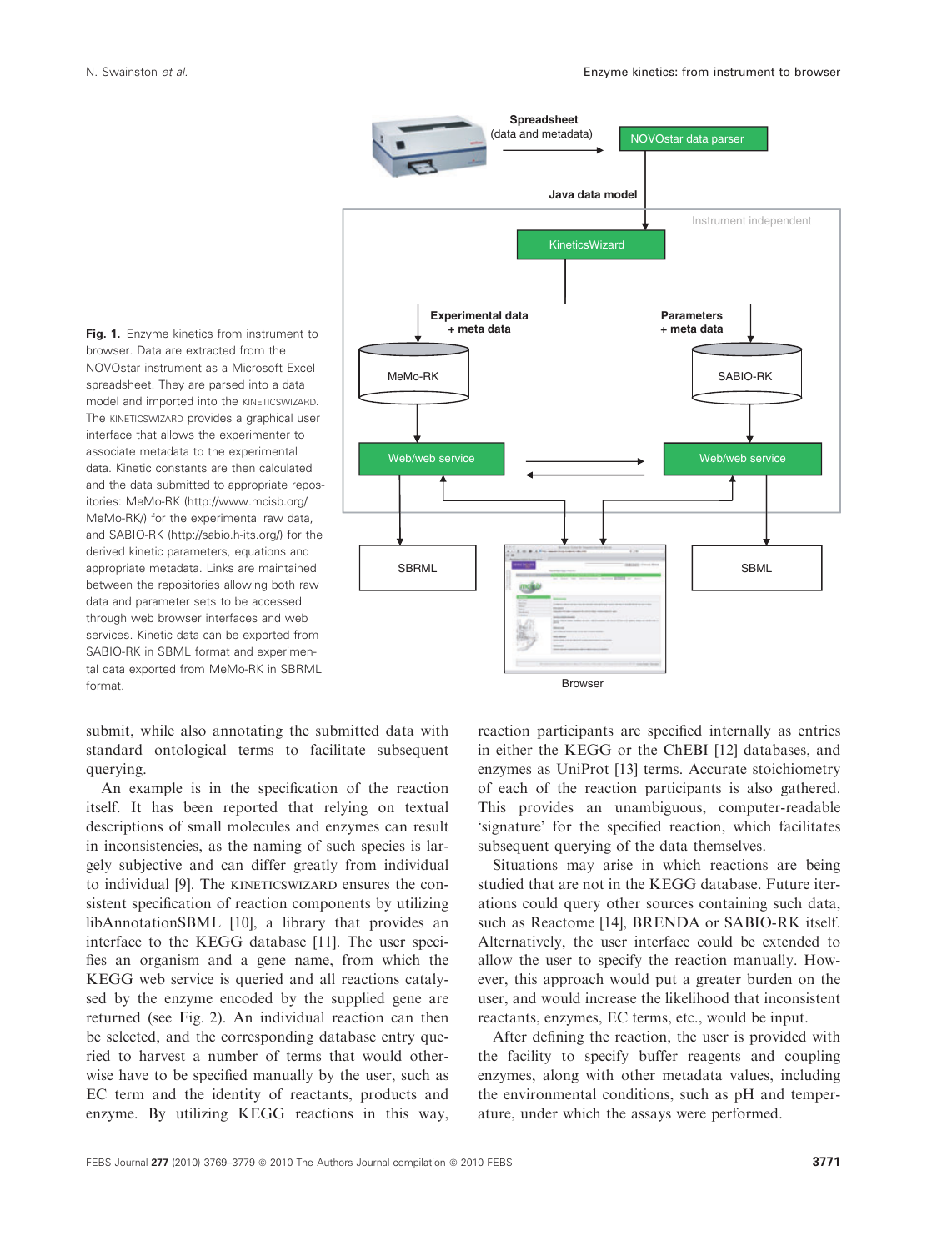Fig. 1. Enzyme kinetics from instrument to browser. Data are extracted from the NOVOstar instrument as a Microsoft Excel spreadsheet. They are parsed into a data model and imported into the KINETICSWIZARD. The KINETICSWIZARD provides a graphical user interface that allows the experimenter to associate metadata to the experimental data. Kinetic constants are then calculated and the data submitted to appropriate repositories: MeMo-RK (http://www.mcisb.org/ MeMo-RK/) for the experimental raw data, and SABIO-RK (http://sabio.h-its.org/) for the derived kinetic parameters, equations and appropriate metadata. Links are maintained between the repositories allowing both raw data and parameter sets to be accessed through web browser interfaces and web services. Kinetic data can be exported from SABIO-RK in SBML format and experimental data exported from MeMo-RK in SBRML format.

submit, while also annotating the submitted data with standard ontological terms to facilitate subsequent querying.

An example is in the specification of the reaction itself. It has been reported that relying on textual descriptions of small molecules and enzymes can result in inconsistencies, as the naming of such species is largely subjective and can differ greatly from individual to individual [9]. The KINETICSWIZARD ensures the consistent specification of reaction components by utilizing libAnnotationSBML [10], a library that provides an interface to the KEGG database [11]. The user specifies an organism and a gene name, from which the KEGG web service is queried and all reactions catalysed by the enzyme encoded by the supplied gene are returned (see Fig. 2). An individual reaction can then be selected, and the corresponding database entry queried to harvest a number of terms that would otherwise have to be specified manually by the user, such as EC term and the identity of reactants, products and enzyme. By utilizing KEGG reactions in this way,



reaction participants are specified internally as entries in either the KEGG or the ChEBI [12] databases, and enzymes as UniProt [13] terms. Accurate stoichiometry of each of the reaction participants is also gathered. This provides an unambiguous, computer-readable 'signature' for the specified reaction, which facilitates subsequent querying of the data themselves.

Situations may arise in which reactions are being studied that are not in the KEGG database. Future iterations could query other sources containing such data, such as Reactome [14], BRENDA or SABIO-RK itself. Alternatively, the user interface could be extended to allow the user to specify the reaction manually. However, this approach would put a greater burden on the user, and would increase the likelihood that inconsistent reactants, enzymes, EC terms, etc., would be input.

After defining the reaction, the user is provided with the facility to specify buffer reagents and coupling enzymes, along with other metadata values, including the environmental conditions, such as pH and temperature, under which the assays were performed.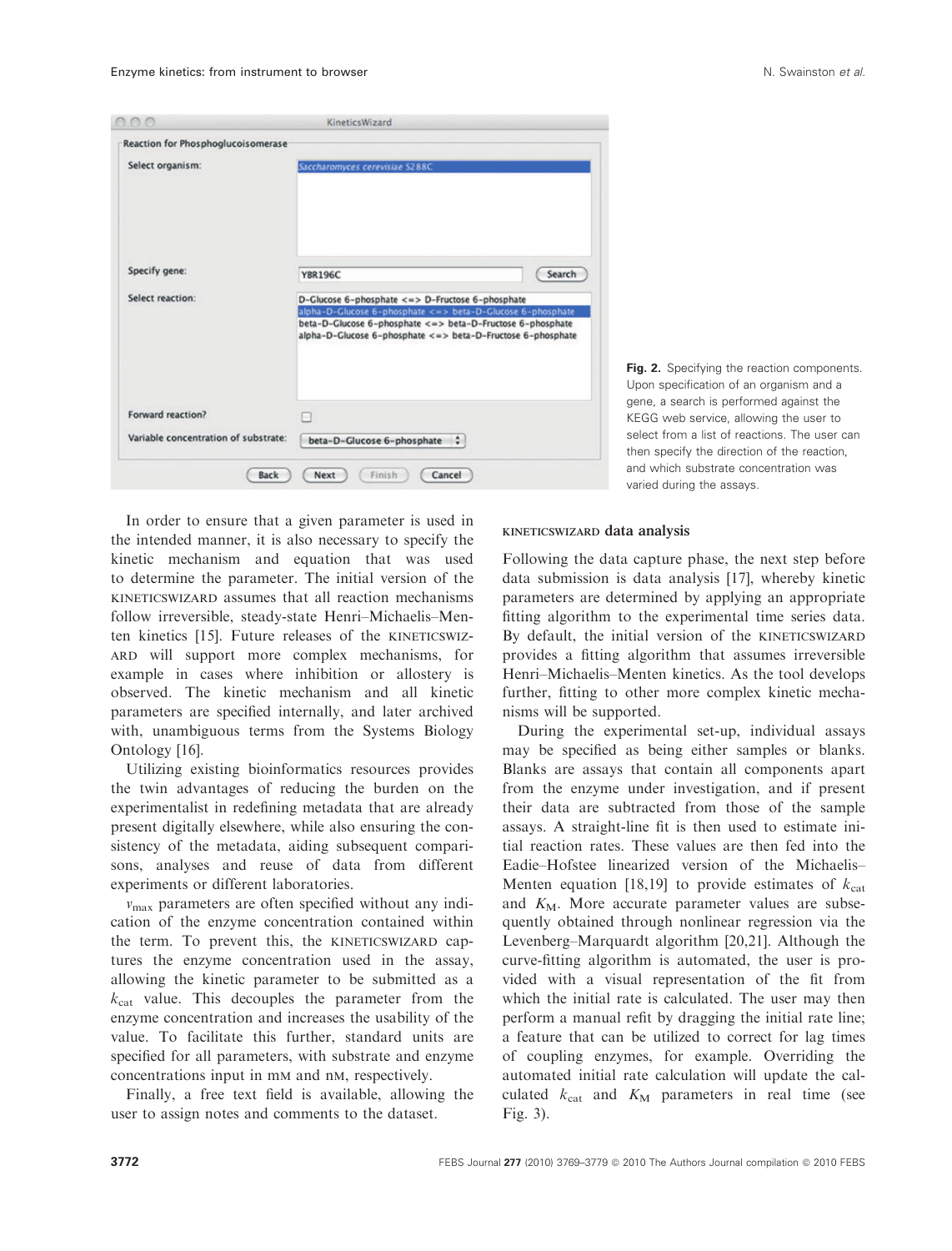| Reaction for Phosphoglucoisomerase   |                                                                                                                                                                                         |  |  |  |  |  |
|--------------------------------------|-----------------------------------------------------------------------------------------------------------------------------------------------------------------------------------------|--|--|--|--|--|
| Select organism:                     | Saccharomyces cerevisiae S288C                                                                                                                                                          |  |  |  |  |  |
| Specify gene:                        | Search<br><b>YBR196C</b>                                                                                                                                                                |  |  |  |  |  |
| Select reaction:                     | D-Glucose 6-phosphate <=> D-Fructose 6-phosphate                                                                                                                                        |  |  |  |  |  |
|                                      | alpha-D-Glucose 6-phosphate <=> beta-D-Glucose 6-phosphate<br>beta-D-Glucose 6-phosphate <=> beta-D-Fructose 6-phosphate<br>alpha-D-Glucose 6-phosphate <=> beta-D-Fructose 6-phosphate |  |  |  |  |  |
| Forward reaction?                    |                                                                                                                                                                                         |  |  |  |  |  |
| Variable concentration of substrate: | beta-D-Glucose 6-phosphate :                                                                                                                                                            |  |  |  |  |  |

Fig. 2. Specifying the reaction components. Upon specification of an organism and a gene, a search is performed against the KEGG web service, allowing the user to select from a list of reactions. The user can then specify the direction of the reaction, and which substrate concentration was varied during the assays.

In order to ensure that a given parameter is used in the intended manner, it is also necessary to specify the kinetic mechanism and equation that was used to determine the parameter. The initial version of the kineticswizard assumes that all reaction mechanisms follow irreversible, steady-state Henri–Michaelis–Menten kinetics [15]. Future releases of the KINETICSWIZard will support more complex mechanisms, for example in cases where inhibition or allostery is observed. The kinetic mechanism and all kinetic parameters are specified internally, and later archived with, unambiguous terms from the Systems Biology Ontology [16].

Utilizing existing bioinformatics resources provides the twin advantages of reducing the burden on the experimentalist in redefining metadata that are already present digitally elsewhere, while also ensuring the consistency of the metadata, aiding subsequent comparisons, analyses and reuse of data from different experiments or different laboratories.

 $v_{\text{max}}$  parameters are often specified without any indication of the enzyme concentration contained within the term. To prevent this, the KINETICSWIZARD captures the enzyme concentration used in the assay, allowing the kinetic parameter to be submitted as a  $k_{\text{cat}}$  value. This decouples the parameter from the enzyme concentration and increases the usability of the value. To facilitate this further, standard units are specified for all parameters, with substrate and enzyme concentrations input in mm and nm, respectively.

Finally, a free text field is available, allowing the user to assign notes and comments to the dataset.

#### KINETICSWIZARD data analysis

Following the data capture phase, the next step before data submission is data analysis [17], whereby kinetic parameters are determined by applying an appropriate fitting algorithm to the experimental time series data. By default, the initial version of the KINETICSWIZARD provides a fitting algorithm that assumes irreversible Henri–Michaelis–Menten kinetics. As the tool develops further, fitting to other more complex kinetic mechanisms will be supported.

During the experimental set-up, individual assays may be specified as being either samples or blanks. Blanks are assays that contain all components apart from the enzyme under investigation, and if present their data are subtracted from those of the sample assays. A straight-line fit is then used to estimate initial reaction rates. These values are then fed into the Eadie–Hofstee linearized version of the Michaelis– Menten equation [18,19] to provide estimates of  $k_{\text{cat}}$ and  $K_M$ . More accurate parameter values are subsequently obtained through nonlinear regression via the Levenberg–Marquardt algorithm [20,21]. Although the curve-fitting algorithm is automated, the user is provided with a visual representation of the fit from which the initial rate is calculated. The user may then perform a manual refit by dragging the initial rate line; a feature that can be utilized to correct for lag times of coupling enzymes, for example. Overriding the automated initial rate calculation will update the calculated  $k_{\text{cat}}$  and  $K_{\text{M}}$  parameters in real time (see Fig. 3).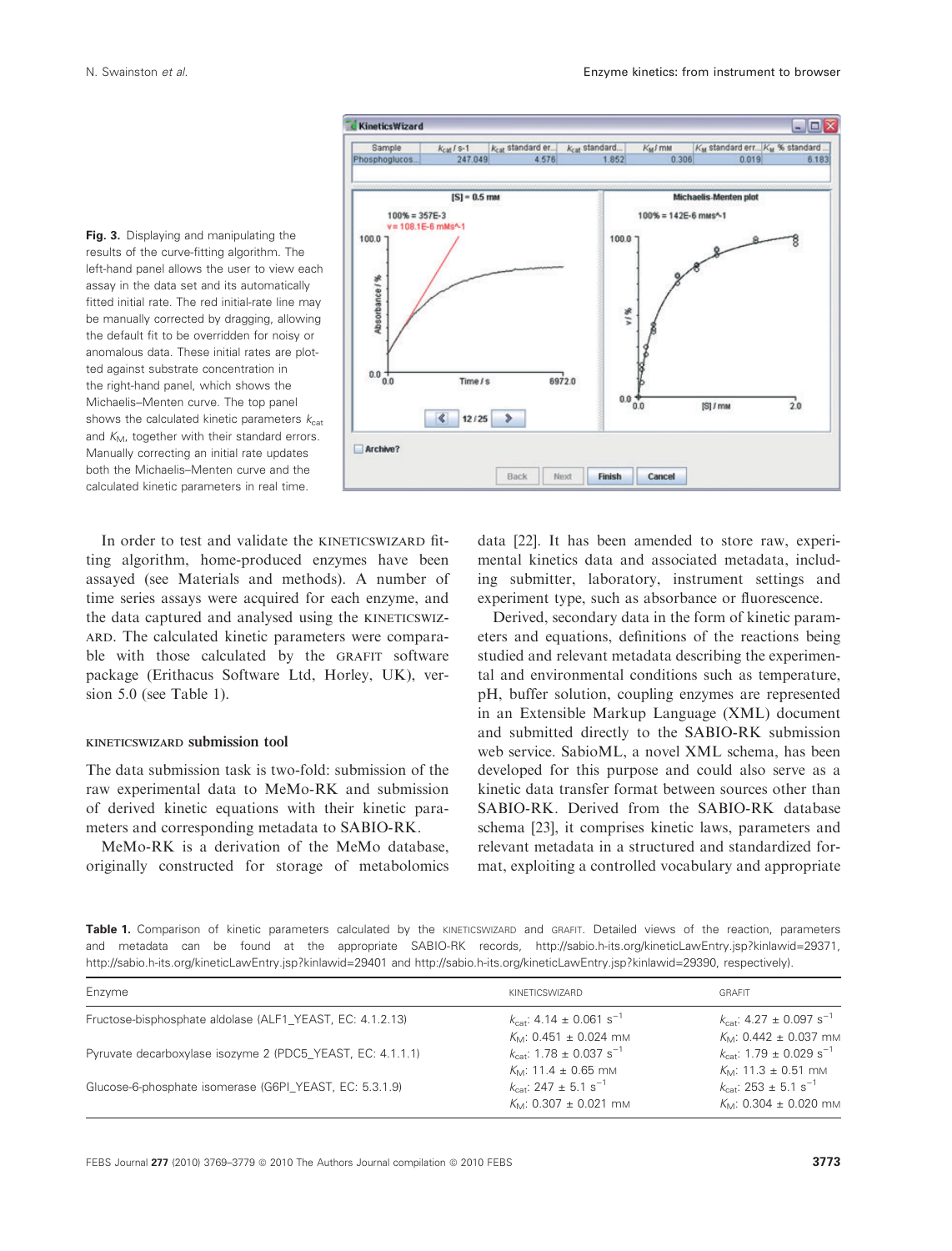Fig. 3. Displaying and manipulating the results of the curve-fitting algorithm. The left-hand panel allows the user to view each assay in the data set and its automatically fitted initial rate. The red initial-rate line may be manually corrected by dragging, allowing the default fit to be overridden for noisy or anomalous data. These initial rates are plotted against substrate concentration in the right-hand panel, which shows the Michaelis–Menten curve. The top panel shows the calculated kinetic parameters  $k_{\text{cat}}$ and  $K_M$ , together with their standard errors. Manually correcting an initial rate updates both the Michaelis–Menten curve and the calculated kinetic parameters in real time.



In order to test and validate the KINETICSWIZARD fitting algorithm, home-produced enzymes have been assayed (see Materials and methods). A number of time series assays were acquired for each enzyme, and the data captured and analysed using the KINETICSWIZard. The calculated kinetic parameters were comparable with those calculated by the GRAFIT software package (Erithacus Software Ltd, Horley, UK), version 5.0 (see Table 1).

#### KINETICSWIZARD submission tool

The data submission task is two-fold: submission of the raw experimental data to MeMo-RK and submission of derived kinetic equations with their kinetic parameters and corresponding metadata to SABIO-RK.

MeMo-RK is a derivation of the MeMo database, originally constructed for storage of metabolomics data [22]. It has been amended to store raw, experimental kinetics data and associated metadata, including submitter, laboratory, instrument settings and experiment type, such as absorbance or fluorescence.

Derived, secondary data in the form of kinetic parameters and equations, definitions of the reactions being studied and relevant metadata describing the experimental and environmental conditions such as temperature, pH, buffer solution, coupling enzymes are represented in an Extensible Markup Language (XML) document and submitted directly to the SABIO-RK submission web service. SabioML, a novel XML schema, has been developed for this purpose and could also serve as a kinetic data transfer format between sources other than SABIO-RK. Derived from the SABIO-RK database schema [23], it comprises kinetic laws, parameters and relevant metadata in a structured and standardized format, exploiting a controlled vocabulary and appropriate

Table 1. Comparison of kinetic parameters calculated by the KINETICSWIZARD and GRAFIT. Detailed views of the reaction, parameters and metadata can be found at the appropriate SABIO-RK records, http://sabio.h-its.org/kineticLawEntry.jsp?kinlawid=29371, http://sabio.h-its.org/kineticLawEntry.jsp?kinlawid=29401 and http://sabio.h-its.org/kineticLawEntry.jsp?kinlawid=29390, respectively).

| Enzyme                                                     | KINETICSWIZARD                                                                | GRAFIT                                                                      |
|------------------------------------------------------------|-------------------------------------------------------------------------------|-----------------------------------------------------------------------------|
| Fructose-bisphosphate aldolase (ALF1 YEAST, EC: 4.1.2.13)  | $k_{\text{cat}}$ : 4.14 ± 0.061 s <sup>-1</sup><br>$K_M$ : 0.451 ± 0.024 mM   | $k_{\text{cat}}$ : 4.27 ± 0.097 s <sup>-1</sup><br>$K_M$ : 0.442 ± 0.037 mm |
| Pyruvate decarboxylase isozyme 2 (PDC5_YEAST, EC: 4.1.1.1) | $k_{\text{cat}}$ : 1.78 $\pm$ 0.037 s <sup>-1</sup><br>$K_M$ : 11.4 ± 0.65 mm | $k_{\text{cat}}$ : 1.79 ± 0.029 s <sup>-1</sup><br>$K_M$ : 11.3 ± 0.51 mm   |
| Glucose-6-phosphate isomerase (G6PI YEAST, EC: 5.3.1.9)    | $k_{\text{cat}}$ : 247 $\pm$ 5.1 s <sup>-1</sup><br>$K_M$ : 0.307 ± 0.021 mM  | $k_{\text{cat}}$ : 253 ± 5.1 s <sup>-1</sup><br>$K_M$ : 0.304 ± 0.020 mm    |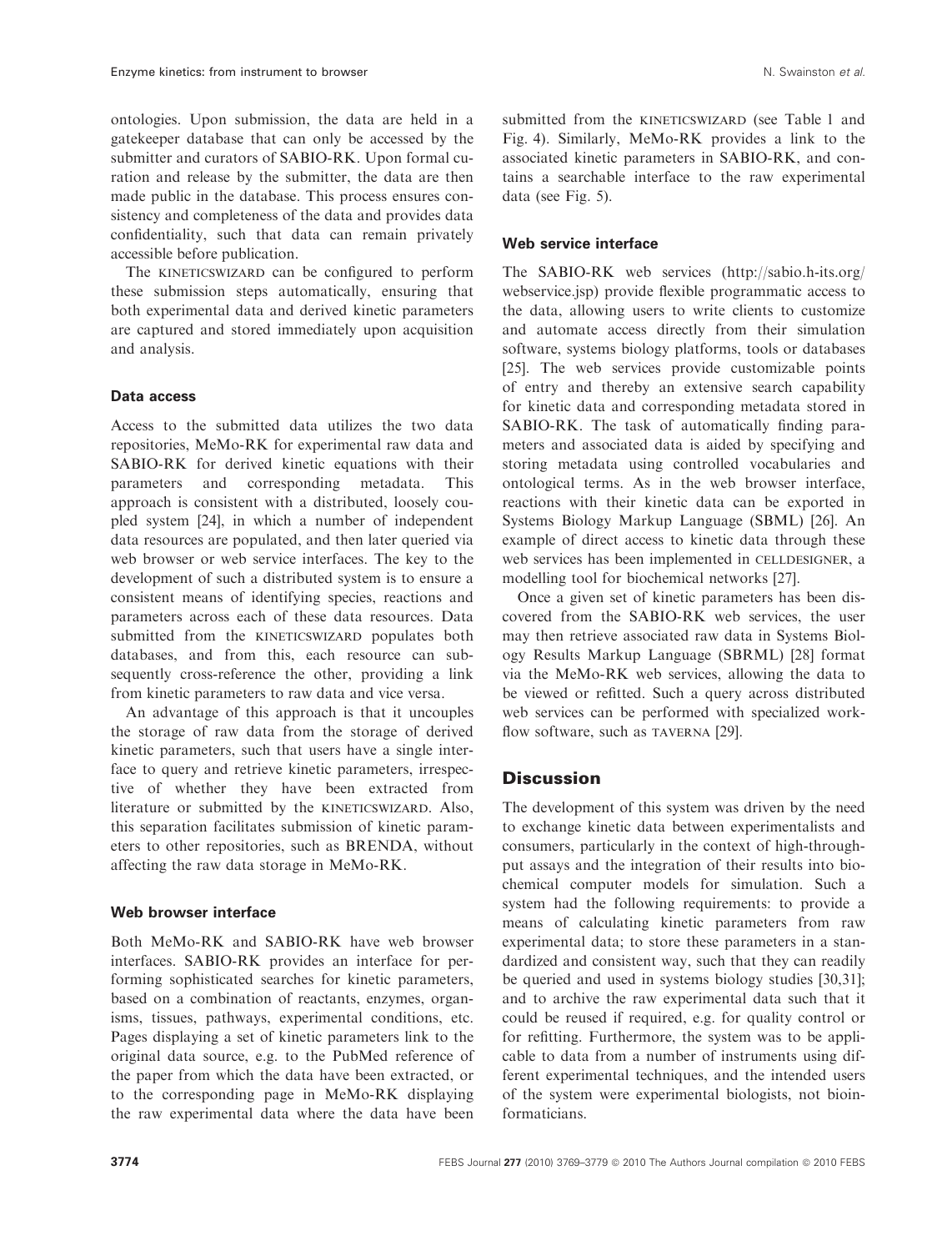ontologies. Upon submission, the data are held in a gatekeeper database that can only be accessed by the submitter and curators of SABIO-RK. Upon formal curation and release by the submitter, the data are then made public in the database. This process ensures consistency and completeness of the data and provides data confidentiality, such that data can remain privately accessible before publication.

The KINETICSWIZARD can be configured to perform these submission steps automatically, ensuring that both experimental data and derived kinetic parameters are captured and stored immediately upon acquisition and analysis.

## Data access

Access to the submitted data utilizes the two data repositories, MeMo-RK for experimental raw data and SABIO-RK for derived kinetic equations with their parameters and corresponding metadata. This approach is consistent with a distributed, loosely coupled system [24], in which a number of independent data resources are populated, and then later queried via web browser or web service interfaces. The key to the development of such a distributed system is to ensure a consistent means of identifying species, reactions and parameters across each of these data resources. Data submitted from the KINETICSWIZARD populates both databases, and from this, each resource can subsequently cross-reference the other, providing a link from kinetic parameters to raw data and vice versa.

An advantage of this approach is that it uncouples the storage of raw data from the storage of derived kinetic parameters, such that users have a single interface to query and retrieve kinetic parameters, irrespective of whether they have been extracted from literature or submitted by the KINETICSWIZARD. Also, this separation facilitates submission of kinetic parameters to other repositories, such as BRENDA, without affecting the raw data storage in MeMo-RK.

## Web browser interface

Both MeMo-RK and SABIO-RK have web browser interfaces. SABIO-RK provides an interface for performing sophisticated searches for kinetic parameters, based on a combination of reactants, enzymes, organisms, tissues, pathways, experimental conditions, etc. Pages displaying a set of kinetic parameters link to the original data source, e.g. to the PubMed reference of the paper from which the data have been extracted, or to the corresponding page in MeMo-RK displaying the raw experimental data where the data have been submitted from the KINETICSWIZARD (see Table 1 and Fig. 4). Similarly, MeMo-RK provides a link to the associated kinetic parameters in SABIO-RK, and contains a searchable interface to the raw experimental data (see Fig. 5).

# Web service interface

The SABIO-RK web services (http://sabio.h-its.org/ webservice.jsp) provide flexible programmatic access to the data, allowing users to write clients to customize and automate access directly from their simulation software, systems biology platforms, tools or databases [25]. The web services provide customizable points of entry and thereby an extensive search capability for kinetic data and corresponding metadata stored in SABIO-RK. The task of automatically finding parameters and associated data is aided by specifying and storing metadata using controlled vocabularies and ontological terms. As in the web browser interface, reactions with their kinetic data can be exported in Systems Biology Markup Language (SBML) [26]. An example of direct access to kinetic data through these web services has been implemented in CELLDESIGNER, a modelling tool for biochemical networks [27].

Once a given set of kinetic parameters has been discovered from the SABIO-RK web services, the user may then retrieve associated raw data in Systems Biology Results Markup Language (SBRML) [28] format via the MeMo-RK web services, allowing the data to be viewed or refitted. Such a query across distributed web services can be performed with specialized workflow software, such as TAVERNA [29].

# **Discussion**

The development of this system was driven by the need to exchange kinetic data between experimentalists and consumers, particularly in the context of high-throughput assays and the integration of their results into biochemical computer models for simulation. Such a system had the following requirements: to provide a means of calculating kinetic parameters from raw experimental data; to store these parameters in a standardized and consistent way, such that they can readily be queried and used in systems biology studies [30,31]; and to archive the raw experimental data such that it could be reused if required, e.g. for quality control or for refitting. Furthermore, the system was to be applicable to data from a number of instruments using different experimental techniques, and the intended users of the system were experimental biologists, not bioinformaticians.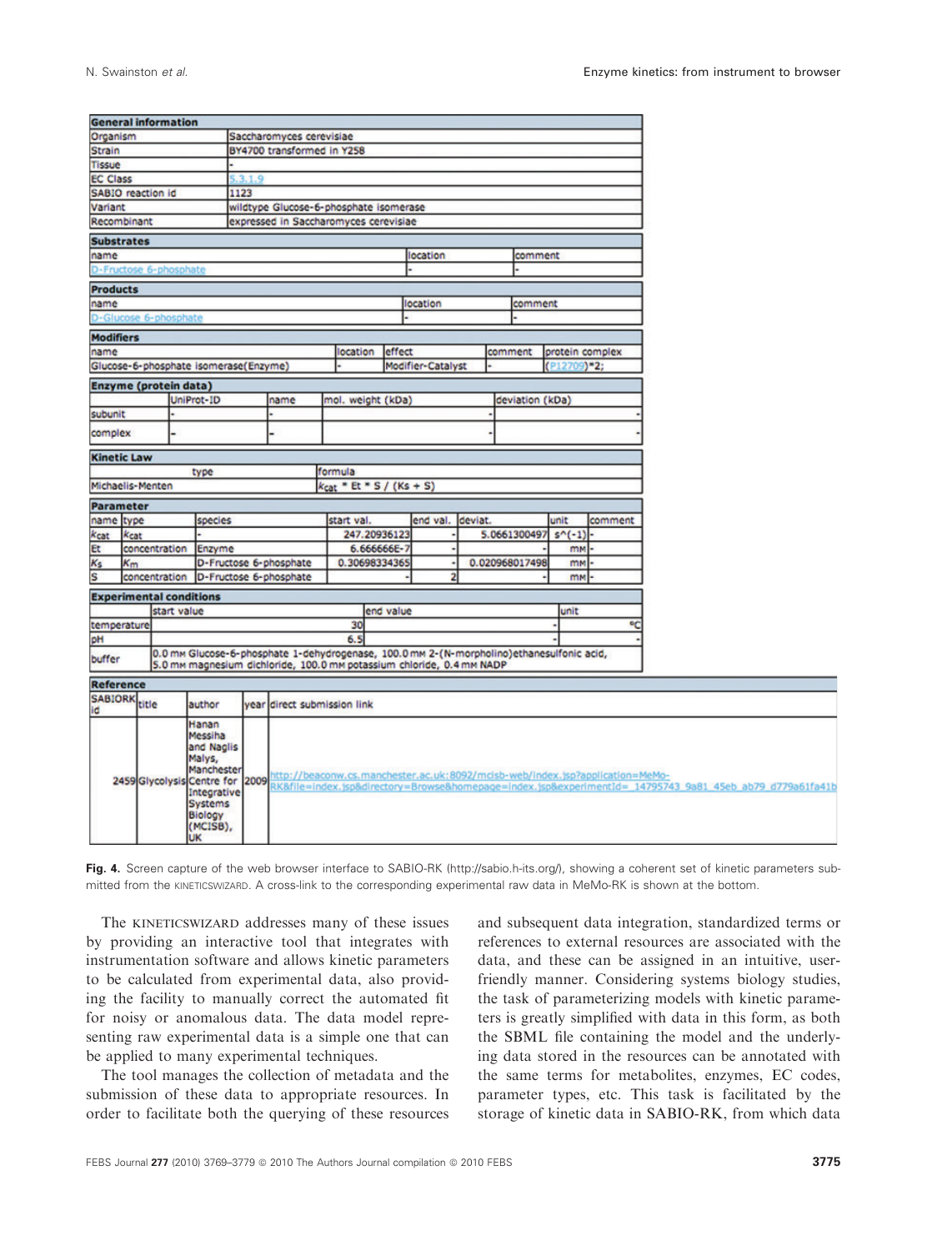|                                                      |             | <b>General information</b>             |                        |                            |                                                                                             |                               |                                      |           |                   |  |                 |                 |                |         |  |
|------------------------------------------------------|-------------|----------------------------------------|------------------------|----------------------------|---------------------------------------------------------------------------------------------|-------------------------------|--------------------------------------|-----------|-------------------|--|-----------------|-----------------|----------------|---------|--|
| Organism                                             |             |                                        |                        |                            | Saccharomyces cerevisiae                                                                    |                               |                                      |           |                   |  |                 |                 |                |         |  |
| <b>Strain</b>                                        |             |                                        |                        | BY4700 transformed in Y258 |                                                                                             |                               |                                      |           |                   |  |                 |                 |                |         |  |
| <b>Tissue</b>                                        |             |                                        |                        |                            |                                                                                             |                               |                                      |           |                   |  |                 |                 |                |         |  |
| <b>EC Class</b>                                      |             |                                        |                        | 5.3.1.9                    |                                                                                             |                               |                                      |           |                   |  |                 |                 |                |         |  |
|                                                      |             | SABIO reaction id                      |                        | 1123                       |                                                                                             |                               |                                      |           |                   |  |                 |                 |                |         |  |
| Variant                                              |             | wildtype Glucose-6-phosphate isomerase |                        |                            |                                                                                             |                               |                                      |           |                   |  |                 |                 |                |         |  |
| Recombinant<br>expressed in Saccharomyces cerevisiae |             |                                        |                        |                            |                                                                                             |                               |                                      |           |                   |  |                 |                 |                |         |  |
| <b>Substrates</b>                                    |             |                                        |                        |                            |                                                                                             |                               |                                      |           |                   |  |                 |                 |                |         |  |
| name                                                 |             |                                        |                        |                            |                                                                                             |                               |                                      |           | location          |  |                 | comment         |                |         |  |
| D-Fructose 6-phosphate                               |             |                                        |                        |                            |                                                                                             |                               |                                      |           |                   |  |                 |                 |                |         |  |
| <b>Products</b>                                      |             |                                        |                        |                            |                                                                                             |                               |                                      |           |                   |  |                 |                 |                |         |  |
| name                                                 |             |                                        |                        |                            |                                                                                             |                               |                                      |           |                   |  |                 |                 |                |         |  |
| D-Glucose 6-phosphate                                |             |                                        |                        |                            |                                                                                             | location                      |                                      |           |                   |  |                 | comment         |                |         |  |
|                                                      |             |                                        |                        |                            |                                                                                             |                               |                                      |           |                   |  |                 |                 |                |         |  |
| <b>Modifiers</b>                                     |             |                                        |                        |                            |                                                                                             |                               |                                      |           |                   |  |                 |                 |                |         |  |
| name                                                 |             |                                        |                        |                            |                                                                                             | effect<br>location<br>comment |                                      |           |                   |  | protein complex |                 |                |         |  |
|                                                      |             | Glucose-6-phosphate isomerase(Enzyme)  |                        |                            |                                                                                             |                               |                                      |           | Modifier-Catalyst |  |                 |                 | $(P12709)^*2;$ |         |  |
|                                                      |             | <b>Enzyme (protein data)</b>           |                        |                            |                                                                                             |                               |                                      |           |                   |  |                 |                 |                |         |  |
|                                                      |             |                                        | UniProt-ID             |                            | name                                                                                        |                               | mol. weight (kDa)                    |           |                   |  |                 | deviation (kDa) |                |         |  |
| subunit                                              |             |                                        |                        |                            |                                                                                             |                               |                                      |           |                   |  |                 |                 |                |         |  |
| complex                                              |             |                                        |                        |                            |                                                                                             |                               |                                      |           |                   |  |                 |                 |                |         |  |
|                                                      |             |                                        |                        |                            |                                                                                             |                               |                                      |           |                   |  |                 |                 |                |         |  |
| <b>Kinetic Law</b>                                   |             |                                        |                        |                            |                                                                                             |                               |                                      |           |                   |  |                 |                 |                |         |  |
|                                                      |             |                                        | type                   |                            |                                                                                             |                               | formula                              |           |                   |  |                 |                 |                |         |  |
|                                                      |             | Michaelis-Menten                       |                        |                            |                                                                                             |                               | $k_{\text{cat}}$ * Et * S / (Ks + S) |           |                   |  |                 |                 |                |         |  |
| <b>Parameter</b>                                     |             |                                        |                        |                            |                                                                                             |                               |                                      |           |                   |  |                 |                 |                |         |  |
| name type                                            |             |                                        | species                |                            |                                                                                             |                               | start val.                           |           | end val.          |  | deviat.         |                 | unit           | comment |  |
| kcat                                                 | kcat        |                                        |                        |                            |                                                                                             |                               | 247.20936123                         |           |                   |  |                 | 5.0661300497    | $s^{(-1)}$     |         |  |
| Et                                                   |             | concentration                          | Enzyme                 |                            |                                                                                             |                               | 6.666666E-7                          |           |                   |  |                 |                 | <b>mM</b>      |         |  |
| Κs                                                   | $K_{\rm m}$ |                                        | D-Fructose 6-phosphate |                            |                                                                                             | 0.30698334365                 |                                      |           | ٠                 |  | 0.020968017498  | <b>mM</b>       |                |         |  |
| S                                                    |             | concentration                          | D-Fructose 6-phosphate |                            |                                                                                             | 2                             |                                      |           |                   |  |                 | <b>MM</b>       |                |         |  |
|                                                      |             | <b>Experimental conditions</b>         |                        |                            |                                                                                             |                               |                                      |           |                   |  |                 |                 |                |         |  |
|                                                      |             | start value                            |                        |                            |                                                                                             |                               |                                      | end value |                   |  |                 |                 | unit           |         |  |
| temperature                                          |             |                                        |                        | 30                         |                                                                                             |                               |                                      |           |                   |  |                 |                 |                |         |  |
| DH                                                   |             |                                        |                        |                            |                                                                                             |                               | 6.5                                  |           |                   |  |                 |                 |                |         |  |
| buffer                                               |             |                                        |                        |                            | 0.0 mm Glucose-6-phosphate 1-dehydrogenase, 100.0 mm 2-(N-morpholino)ethanesulfonic acid,   |                               |                                      |           |                   |  |                 |                 |                |         |  |
|                                                      |             |                                        |                        |                            | 5.0 mm magnesium dichloride, 100.0 mm potassium chloride, 0.4 mm NADP                       |                               |                                      |           |                   |  |                 |                 |                |         |  |
| <b>Reference</b>                                     |             |                                        |                        |                            |                                                                                             |                               |                                      |           |                   |  |                 |                 |                |         |  |
| <b>SABJORK</b>                                       |             | title                                  | author                 | vear                       | direct submission link                                                                      |                               |                                      |           |                   |  |                 |                 |                |         |  |
| id                                                   |             |                                        |                        |                            |                                                                                             |                               |                                      |           |                   |  |                 |                 |                |         |  |
|                                                      |             |                                        | Hanan<br>Messiha       |                            |                                                                                             |                               |                                      |           |                   |  |                 |                 |                |         |  |
|                                                      |             |                                        | and Naglis<br>Malys,   |                            |                                                                                             |                               |                                      |           |                   |  |                 |                 |                |         |  |
|                                                      |             |                                        | Manchester             |                            | 2009 http://beaconw.cs.manchester.ac.uk:8092/mcisb-web/index.jsp?application=MeMo-          |                               |                                      |           |                   |  |                 |                 |                |         |  |
|                                                      |             | 2459 Glycolysis Centre for             |                        |                            | RK&file=index.isp&directory=Browse&homepage=index.isp&experimentId= 14795743 9a81 45eb ab79 |                               |                                      |           |                   |  |                 |                 |                |         |  |
|                                                      |             |                                        | Integrative<br>Systems |                            |                                                                                             |                               |                                      |           |                   |  |                 |                 |                |         |  |
|                                                      |             |                                        | Biology                |                            |                                                                                             |                               |                                      |           |                   |  |                 |                 |                |         |  |
|                                                      |             |                                        | (MCTCB)                |                            |                                                                                             |                               |                                      |           |                   |  |                 |                 |                |         |  |

Fig. 4. Screen capture of the web browser interface to SABIO-RK (http://sabio.h-its.org/), showing a coherent set of kinetic parameters submitted from the KINETICSWIZARD. A cross-link to the corresponding experimental raw data in MeMo-RK is shown at the bottom.

The KINETICSWIZARD addresses many of these issues by providing an interactive tool that integrates with instrumentation software and allows kinetic parameters to be calculated from experimental data, also providing the facility to manually correct the automated fit for noisy or anomalous data. The data model representing raw experimental data is a simple one that can be applied to many experimental techniques.

ÙК

The tool manages the collection of metadata and the submission of these data to appropriate resources. In order to facilitate both the querying of these resources and subsequent data integration, standardized terms or references to external resources are associated with the data, and these can be assigned in an intuitive, userfriendly manner. Considering systems biology studies, the task of parameterizing models with kinetic parameters is greatly simplified with data in this form, as both the SBML file containing the model and the underlying data stored in the resources can be annotated with the same terms for metabolites, enzymes, EC codes, parameter types, etc. This task is facilitated by the storage of kinetic data in SABIO-RK, from which data

d779a61fa41b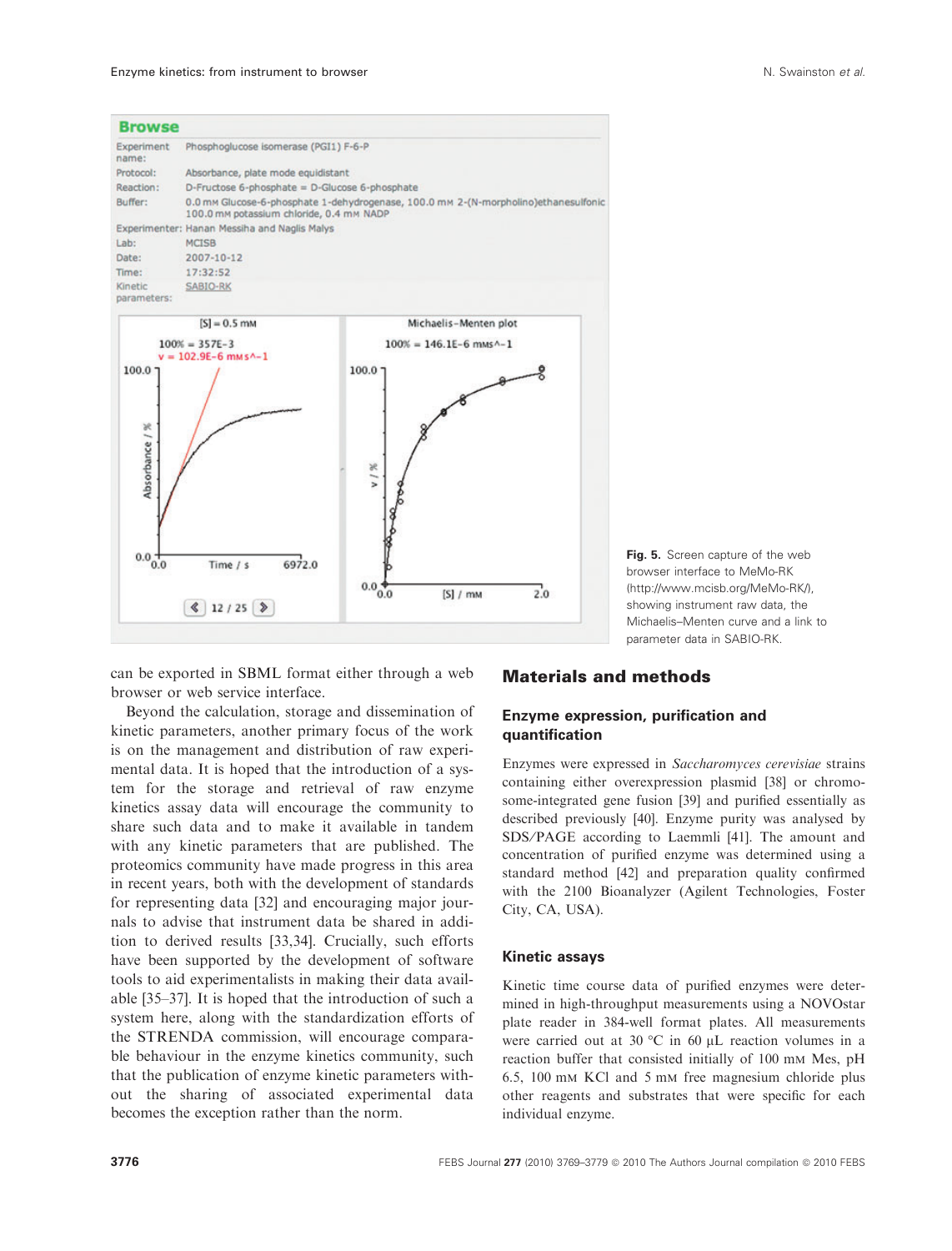

Fig. 5. Screen capture of the web browser interface to MeMo-RK (http://www.mcisb.org/MeMo-RK/), showing instrument raw data, the Michaelis–Menten curve and a link to parameter data in SABIO-RK.

can be exported in SBML format either through a web browser or web service interface.

Beyond the calculation, storage and dissemination of kinetic parameters, another primary focus of the work is on the management and distribution of raw experimental data. It is hoped that the introduction of a system for the storage and retrieval of raw enzyme kinetics assay data will encourage the community to share such data and to make it available in tandem with any kinetic parameters that are published. The proteomics community have made progress in this area in recent years, both with the development of standards for representing data [32] and encouraging major journals to advise that instrument data be shared in addition to derived results [33,34]. Crucially, such efforts have been supported by the development of software tools to aid experimentalists in making their data available [35–37]. It is hoped that the introduction of such a system here, along with the standardization efforts of the STRENDA commission, will encourage comparable behaviour in the enzyme kinetics community, such that the publication of enzyme kinetic parameters without the sharing of associated experimental data becomes the exception rather than the norm.

# Materials and methods

# Enzyme expression, purification and quantification

Enzymes were expressed in Saccharomyces cerevisiae strains containing either overexpression plasmid [38] or chromosome-integrated gene fusion [39] and purified essentially as described previously [40]. Enzyme purity was analysed by SDS/PAGE according to Laemmli [41]. The amount and concentration of purified enzyme was determined using a standard method [42] and preparation quality confirmed with the 2100 Bioanalyzer (Agilent Technologies, Foster City, CA, USA).

## Kinetic assays

Kinetic time course data of purified enzymes were determined in high-throughput measurements using a NOVOstar plate reader in 384-well format plates. All measurements were carried out at 30 °C in 60  $\mu$ L reaction volumes in a reaction buffer that consisted initially of 100 mm Mes, pH 6.5, 100 mm KCl and 5 mm free magnesium chloride plus other reagents and substrates that were specific for each individual enzyme.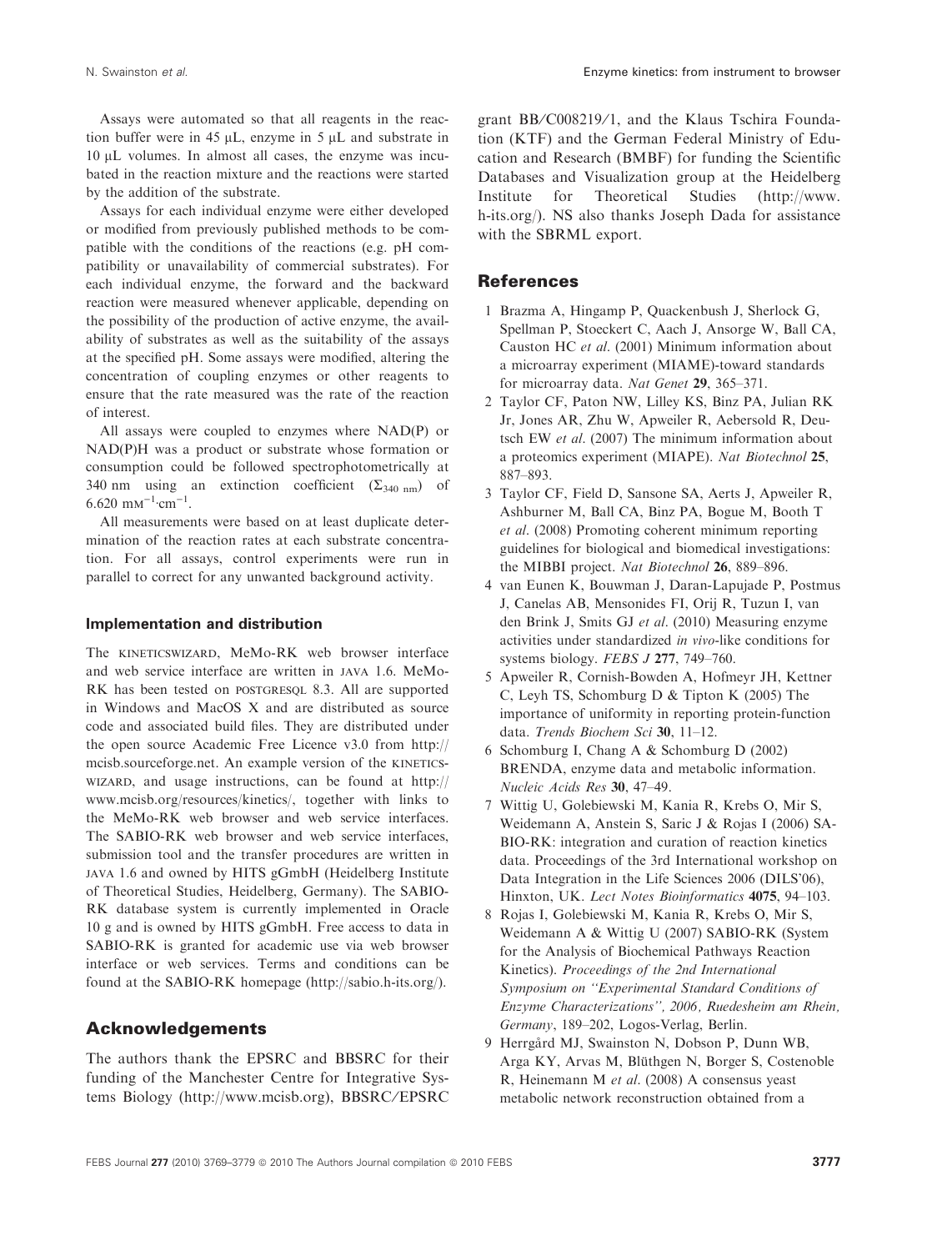Assays were automated so that all reagents in the reaction buffer were in 45  $\mu$ L, enzyme in 5  $\mu$ L and substrate in 10 lL volumes. In almost all cases, the enzyme was incubated in the reaction mixture and the reactions were started by the addition of the substrate.

Assays for each individual enzyme were either developed or modified from previously published methods to be compatible with the conditions of the reactions (e.g. pH compatibility or unavailability of commercial substrates). For each individual enzyme, the forward and the backward reaction were measured whenever applicable, depending on the possibility of the production of active enzyme, the availability of substrates as well as the suitability of the assays at the specified pH. Some assays were modified, altering the concentration of coupling enzymes or other reagents to ensure that the rate measured was the rate of the reaction of interest.

All assays were coupled to enzymes where NAD(P) or NAD(P)H was a product or substrate whose formation or consumption could be followed spectrophotometrically at 340 nm using an extinction coefficient  $(\Sigma_{340 \text{ nm}})$  of  $6.620 \text{ mm}^{-1} \cdot \text{cm}^{-1}$ .

All measurements were based on at least duplicate determination of the reaction rates at each substrate concentration. For all assays, control experiments were run in parallel to correct for any unwanted background activity.

#### Implementation and distribution

The KINETICSWIZARD, MeMo-RK web browser interface and web service interface are written in java 1.6. MeMo-RK has been tested on POSTGRESQL 8.3. All are supported in Windows and MacOS X and are distributed as source code and associated build files. They are distributed under the open source Academic Free Licence v3.0 from http:// mcisb.sourceforge.net. An example version of the KINETICSwizard, and usage instructions, can be found at http:// www.mcisb.org/resources/kinetics/, together with links to the MeMo-RK web browser and web service interfaces. The SABIO-RK web browser and web service interfaces, submission tool and the transfer procedures are written in java 1.6 and owned by HITS gGmbH (Heidelberg Institute of Theoretical Studies, Heidelberg, Germany). The SABIO-RK database system is currently implemented in Oracle 10 g and is owned by HITS gGmbH. Free access to data in SABIO-RK is granted for academic use via web browser interface or web services. Terms and conditions can be found at the SABIO-RK homepage (http://sabio.h-its.org/).

## Acknowledgements

The authors thank the EPSRC and BBSRC for their funding of the Manchester Centre for Integrative Systems Biology (http://www.mcisb.org), BBSRC/EPSRC grant BB/C008219/1, and the Klaus Tschira Foundation (KTF) and the German Federal Ministry of Education and Research (BMBF) for funding the Scientific Databases and Visualization group at the Heidelberg Institute for Theoretical Studies (http://www. h-its.org/). NS also thanks Joseph Dada for assistance with the SBRML export.

## References

- 1 Brazma A, Hingamp P, Quackenbush J, Sherlock G, Spellman P, Stoeckert C, Aach J, Ansorge W, Ball CA, Causton HC et al. (2001) Minimum information about a microarray experiment (MIAME)-toward standards for microarray data. Nat Genet 29, 365–371.
- 2 Taylor CF, Paton NW, Lilley KS, Binz PA, Julian RK Jr, Jones AR, Zhu W, Apweiler R, Aebersold R, Deutsch EW et al. (2007) The minimum information about a proteomics experiment (MIAPE). Nat Biotechnol 25, 887–893.
- 3 Taylor CF, Field D, Sansone SA, Aerts J, Apweiler R, Ashburner M, Ball CA, Binz PA, Bogue M, Booth T et al. (2008) Promoting coherent minimum reporting guidelines for biological and biomedical investigations: the MIBBI project. Nat Biotechnol 26, 889–896.
- 4 van Eunen K, Bouwman J, Daran-Lapujade P, Postmus J, Canelas AB, Mensonides FI, Orij R, Tuzun I, van den Brink J, Smits GJ et al. (2010) Measuring enzyme activities under standardized in vivo-like conditions for systems biology. FEBS J 277, 749–760.
- 5 Apweiler R, Cornish-Bowden A, Hofmeyr JH, Kettner C, Leyh TS, Schomburg D & Tipton K (2005) The importance of uniformity in reporting protein-function data. Trends Biochem Sci 30, 11–12.
- 6 Schomburg I, Chang A & Schomburg D (2002) BRENDA, enzyme data and metabolic information. Nucleic Acids Res 30, 47–49.
- 7 Wittig U, Golebiewski M, Kania R, Krebs O, Mir S, Weidemann A, Anstein S, Saric J & Rojas I (2006) SA-BIO-RK: integration and curation of reaction kinetics data. Proceedings of the 3rd International workshop on Data Integration in the Life Sciences 2006 (DILS'06), Hinxton, UK. Lect Notes Bioinformatics 4075, 94–103.
- 8 Rojas I, Golebiewski M, Kania R, Krebs O, Mir S, Weidemann A & Wittig U (2007) SABIO-RK (System for the Analysis of Biochemical Pathways Reaction Kinetics). Proceedings of the 2nd International Symposium on ''Experimental Standard Conditions of Enzyme Characterizations'', 2006, Ruedesheim am Rhein, Germany, 189–202, Logos-Verlag, Berlin.
- 9 Herrgård MJ, Swainston N, Dobson P, Dunn WB, Arga KY, Arvas M, Blüthgen N, Borger S, Costenoble R, Heinemann M et al. (2008) A consensus yeast metabolic network reconstruction obtained from a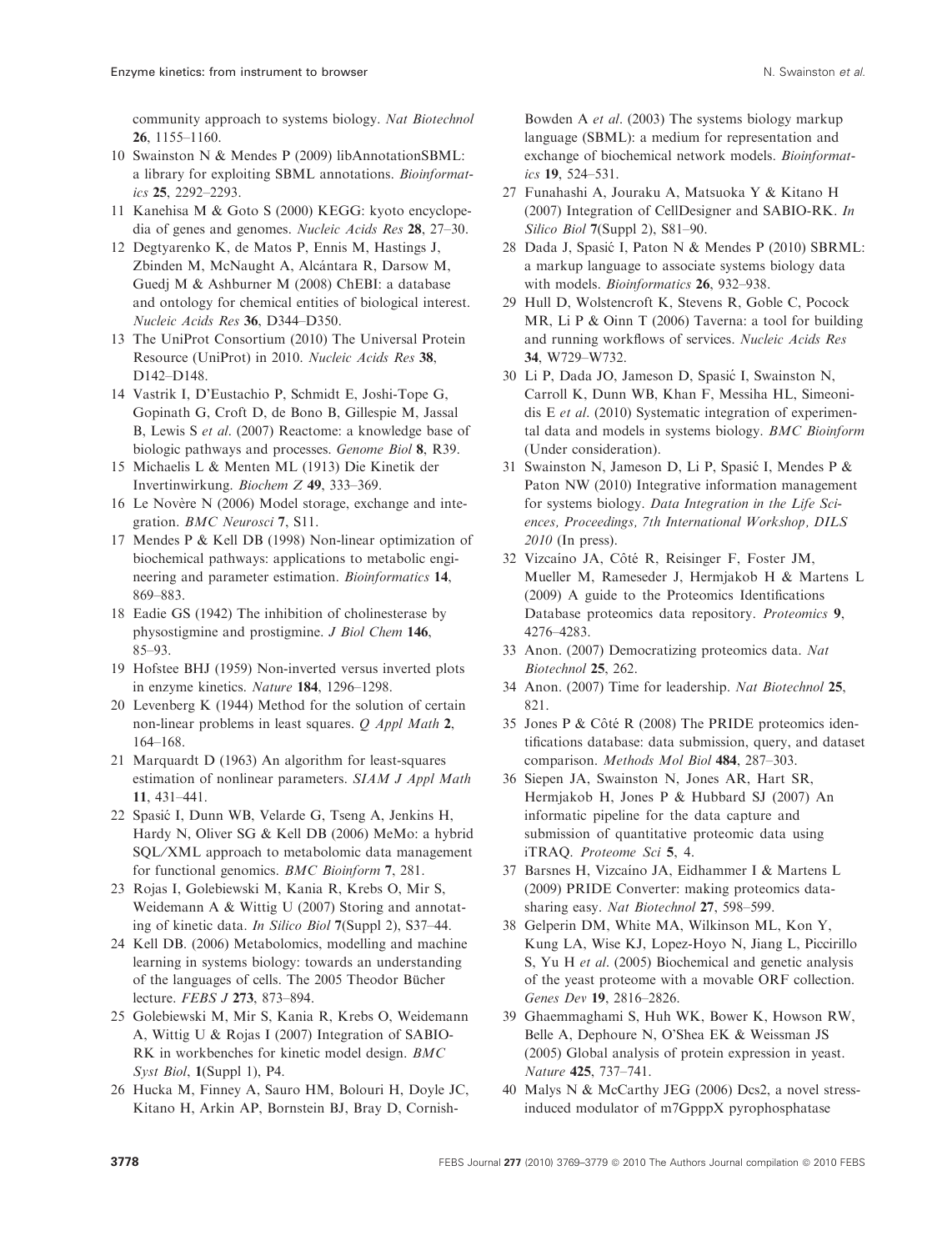community approach to systems biology. Nat Biotechnol 26, 1155–1160.

- 10 Swainston N & Mendes P (2009) libAnnotationSBML: a library for exploiting SBML annotations. Bioinformatics 25, 2292–2293.
- 11 Kanehisa M & Goto S (2000) KEGG: kyoto encyclopedia of genes and genomes. Nucleic Acids Res 28, 27–30.
- 12 Degtyarenko K, de Matos P, Ennis M, Hastings J, Zbinden M, McNaught A, Alcántara R, Darsow M, Guedj M & Ashburner M (2008) ChEBI: a database and ontology for chemical entities of biological interest. Nucleic Acids Res 36, D344–D350.
- 13 The UniProt Consortium (2010) The Universal Protein Resource (UniProt) in 2010. Nucleic Acids Res 38, D142–D148.
- 14 Vastrik I, D'Eustachio P, Schmidt E, Joshi-Tope G, Gopinath G, Croft D, de Bono B, Gillespie M, Jassal B, Lewis S et al. (2007) Reactome: a knowledge base of biologic pathways and processes. Genome Biol 8, R39.
- 15 Michaelis L & Menten ML (1913) Die Kinetik der Invertinwirkung. Biochem Z 49, 333–369.
- 16 Le Novère N (2006) Model storage, exchange and integration. BMC Neurosci 7, S11.
- 17 Mendes P & Kell DB (1998) Non-linear optimization of biochemical pathways: applications to metabolic engineering and parameter estimation. Bioinformatics 14, 869–883.
- 18 Eadie GS (1942) The inhibition of cholinesterase by physostigmine and prostigmine. J Biol Chem 146, 85–93.
- 19 Hofstee BHJ (1959) Non-inverted versus inverted plots in enzyme kinetics. Nature 184, 1296–1298.
- 20 Levenberg K (1944) Method for the solution of certain non-linear problems in least squares. Q Appl Math 2, 164–168.
- 21 Marquardt D (1963) An algorithm for least-squares estimation of nonlinear parameters. SIAM J Appl Math 11, 431–441.
- 22 Spasić I, Dunn WB, Velarde G, Tseng A, Jenkins H, Hardy N, Oliver SG & Kell DB (2006) MeMo: a hybrid SQL⁄ XML approach to metabolomic data management for functional genomics. BMC Bioinform 7, 281.
- 23 Rojas I, Golebiewski M, Kania R, Krebs O, Mir S, Weidemann A & Wittig U (2007) Storing and annotating of kinetic data. In Silico Biol 7(Suppl 2), S37–44.
- 24 Kell DB. (2006) Metabolomics, modelling and machine learning in systems biology: towards an understanding of the languages of cells. The 2005 Theodor Bücher lecture. FEBS J 273, 873–894.
- 25 Golebiewski M, Mir S, Kania R, Krebs O, Weidemann A, Wittig U & Rojas I (2007) Integration of SABIO-RK in workbenches for kinetic model design. BMC Syst Biol, 1(Suppl 1), P4.
- 26 Hucka M, Finney A, Sauro HM, Bolouri H, Doyle JC, Kitano H, Arkin AP, Bornstein BJ, Bray D, Cornish-

Bowden A et al. (2003) The systems biology markup language (SBML): a medium for representation and exchange of biochemical network models. Bioinformatics 19, 524–531.

- 27 Funahashi A, Jouraku A, Matsuoka Y & Kitano H (2007) Integration of CellDesigner and SABIO-RK. In Silico Biol 7(Suppl 2), S81–90.
- 28 Dada J, Spasić I, Paton N & Mendes P (2010) SBRML: a markup language to associate systems biology data with models. Bioinformatics 26, 932–938.
- 29 Hull D, Wolstencroft K, Stevens R, Goble C, Pocock MR, Li P & Oinn T (2006) Taverna: a tool for building and running workflows of services. Nucleic Acids Res 34, W729–W732.
- 30 Li P, Dada JO, Jameson D, Spasic´ I, Swainston N, Carroll K, Dunn WB, Khan F, Messiha HL, Simeonidis E et al. (2010) Systematic integration of experimental data and models in systems biology. BMC Bioinform (Under consideration).
- 31 Swainston N, Jameson D, Li P, Spasić I, Mendes P & Paton NW (2010) Integrative information management for systems biology. Data Integration in the Life Sciences, Proceedings, 7th International Workshop, DILS 2010 (In press).
- 32 Vizcaíno JA, Côté R, Reisinger F, Foster JM, Mueller M, Rameseder J, Hermjakob H & Martens L (2009) A guide to the Proteomics Identifications Database proteomics data repository. Proteomics 9, 4276–4283.
- 33 Anon. (2007) Democratizing proteomics data. Nat Biotechnol 25, 262.
- 34 Anon. (2007) Time for leadership. Nat Biotechnol 25, 821.
- 35 Jones P & Côté R (2008) The PRIDE proteomics identifications database: data submission, query, and dataset comparison. Methods Mol Biol 484, 287–303.
- 36 Siepen JA, Swainston N, Jones AR, Hart SR, Hermjakob H, Jones P & Hubbard SJ (2007) An informatic pipeline for the data capture and submission of quantitative proteomic data using iTRAQ. Proteome Sci 5, 4.
- 37 Barsnes H, Vizcaı´no JA, Eidhammer I & Martens L (2009) PRIDE Converter: making proteomics datasharing easy. Nat Biotechnol 27, 598–599.
- 38 Gelperin DM, White MA, Wilkinson ML, Kon Y, Kung LA, Wise KJ, Lopez-Hoyo N, Jiang L, Piccirillo S, Yu H et al. (2005) Biochemical and genetic analysis of the yeast proteome with a movable ORF collection. Genes Dev 19, 2816–2826.
- 39 Ghaemmaghami S, Huh WK, Bower K, Howson RW, Belle A, Dephoure N, O'Shea EK & Weissman JS (2005) Global analysis of protein expression in yeast. Nature 425, 737–741.
- 40 Malys N & McCarthy JEG (2006) Dcs2, a novel stressinduced modulator of m7GpppX pyrophosphatase